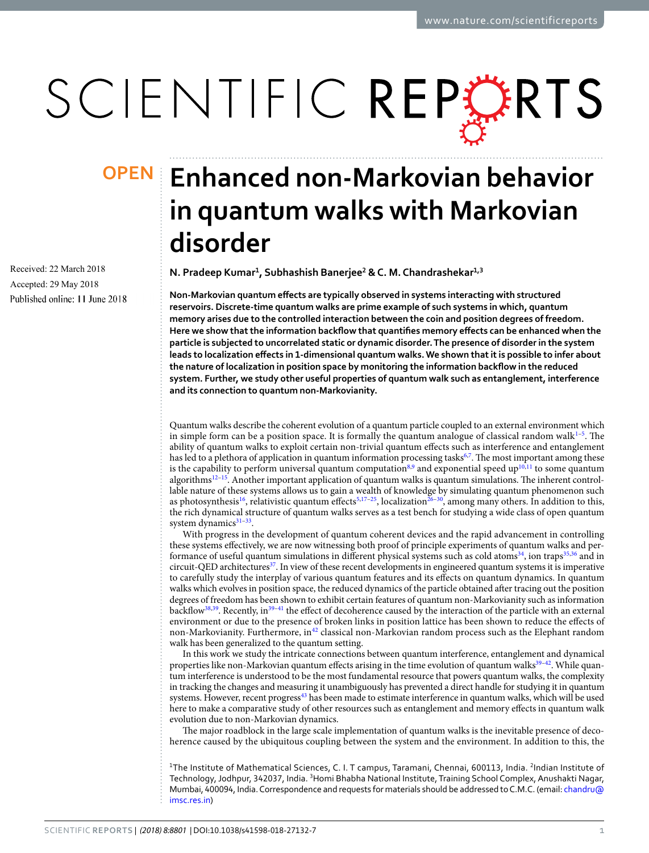# SCIENTIFIC REPORTS

Received: 22 March 2018 Accepted: 29 May 2018 Published online: 11 June 2018

## **Enhanced non-Markovian behavior OPENin quantum walks with Markovian disorder**

**N. Pradeep Kumar<sup>1</sup> , Subhashish Banerjee<sup>2</sup> & C. M. Chandrashekar1,3**

**Non-Markovian quantum effects are typically observed in systems interacting with structured reservoirs. Discrete-time quantum walks are prime example of such systems in which, quantum memory arises due to the controlled interaction between the coin and position degrees of freedom. Here we show that the information backflow that quantifies memory effects can be enhanced when the particle is subjected to uncorrelated static or dynamic disorder. The presence of disorder in the system leads to localization effects in 1-dimensional quantum walks. We shown that it is possible to infer about the nature of localization in position space by monitoring the information backflow in the reduced system. Further, we study other useful properties of quantum walk such as entanglement, interference and its connection to quantum non-Markovianity.**

Quantum walks describe the coherent evolution of a quantum particle coupled to an external environment which in simple form can be a position space. It is formally the quantum analogue of classical random walk $1-5$  $1-5$ . The ability of quantum walks to exploit certain non-trivial quantum effects such as interference and entanglement has led to a plethora of application in quantum information processing tasks<sup>[6,](#page-5-2)[7](#page-5-3)</sup>. The most important among these is the capability to perform universal quantum computation $8.9$  $8.9$  $8.9$  and exponential speed up<sup>[10,](#page-5-6)[11](#page-5-7)</sup> to some quantum algorithms[12](#page-5-8)[–15](#page-5-9). Another important application of quantum walks is quantum simulations. The inherent controllable nature of these systems allows us to gain a wealth of knowledge by simulating quantum phenomenon such as photosynthesis<sup>[16](#page-5-10)</sup>, relativistic quantum effects<sup>[5](#page-5-1)[,17–](#page-5-11)[25](#page-5-12)</sup>, localization<sup>[26–](#page-5-13)[30](#page-6-0)</sup>, among many others. In addition to this, the rich dynamical structure of quantum walks serves as a test bench for studying a wide class of open quantum system dynamics<sup>[31](#page-6-1)-33</sup>.

With progress in the development of quantum coherent devices and the rapid advancement in controlling these systems effectively, we are now witnessing both proof of principle experiments of quantum walks and per-formance of useful quantum simulations in different physical systems such as cold atoms<sup>[34](#page-6-3)</sup>, ion traps<sup>[35,](#page-6-4)[36](#page-6-5)</sup> and in circuit-QED architectures<sup>[37](#page-6-6)</sup>. In view of these recent developments in engineered quantum systems it is imperative to carefully study the interplay of various quantum features and its effects on quantum dynamics. In quantum walks which evolves in position space, the reduced dynamics of the particle obtained after tracing out the position degrees of freedom has been shown to exhibit certain features of quantum non-Markovianity such as information backflow[38,](#page-6-7)[39](#page-6-8). Recently, in[39–](#page-6-8)[41](#page-6-9) the effect of decoherence caused by the interaction of the particle with an external environment or due to the presence of broken links in position lattice has been shown to reduce the effects of non-Markovianity. Furthermore, in<sup>[42](#page-6-10)</sup> classical non-Markovian random process such as the Elephant random walk has been generalized to the quantum setting.

In this work we study the intricate connections between quantum interference, entanglement and dynamical properties like non-Markovian quantum effects arising in the time evolution of quantum walks<sup>[39](#page-6-8)[–42](#page-6-10)</sup>. While quantum interference is understood to be the most fundamental resource that powers quantum walks, the complexity in tracking the changes and measuring it unambiguously has prevented a direct handle for studying it in quantum systems. However, recent progress<sup>[43](#page-6-11)</sup> has been made to estimate interference in quantum walks, which will be used here to make a comparative study of other resources such as entanglement and memory effects in quantum walk evolution due to non-Markovian dynamics.

The major roadblock in the large scale implementation of quantum walks is the inevitable presence of decoherence caused by the ubiquitous coupling between the system and the environment. In addition to this, the

<sup>1</sup>The Institute of Mathematical Sciences, C. I. T campus, Taramani, Chennai, 600113, India. <sup>2</sup>Indian Institute of Technology, Jodhpur, 342037, India. <sup>3</sup>Homi Bhabha National Institute, Training School Complex, Anushakti Nagar, Mumbai, 400094, India. Correspondence and requests for materials should be addressed to C.M.C. (email: [chandru@](mailto:chandru@imsc.res.in) [imsc.res.in](mailto:chandru@imsc.res.in))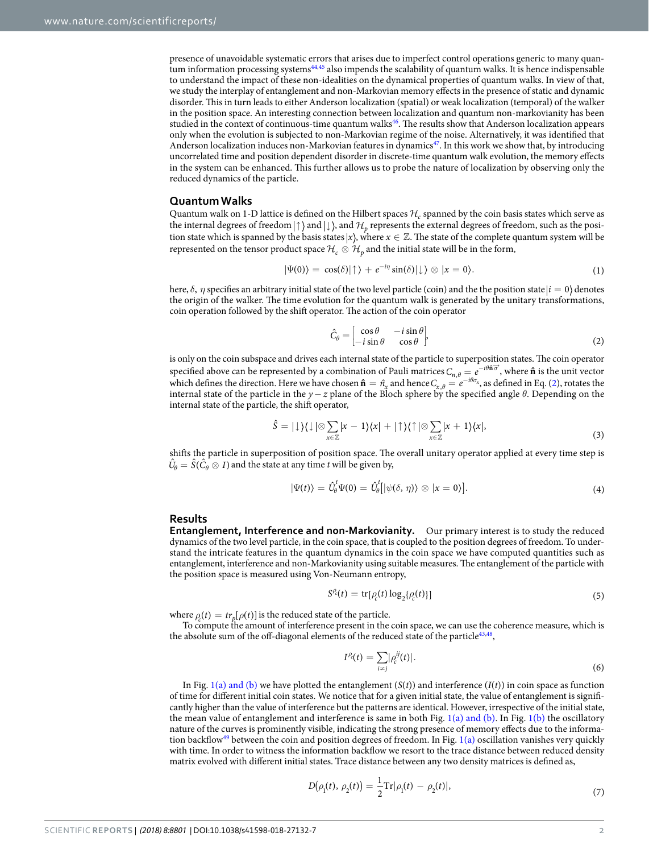presence of unavoidable systematic errors that arises due to imperfect control operations generic to many quan-tum information processing systems<sup>[44](#page-6-12)[,45](#page-6-13)</sup> also impends the scalability of quantum walks. It is hence indispensable to understand the impact of these non-idealities on the dynamical properties of quantum walks. In view of that, we study the interplay of entanglement and non-Markovian memory effects in the presence of static and dynamic disorder. This in turn leads to either Anderson localization (spatial) or weak localization (temporal) of the walker in the position space. An interesting connection between localization and quantum non-markovianity has been studied in the context of continuous-time quantum walks[46](#page-6-14). The results show that Anderson localization appears only when the evolution is subjected to non-Markovian regime of the noise. Alternatively, it was identified that Anderson localization induces non-Markovian features in dynamics<sup>[47](#page-6-15)</sup>. In this work we show that, by introducing uncorrelated time and position dependent disorder in discrete-time quantum walk evolution, the memory effects in the system can be enhanced. This further allows us to probe the nature of localization by observing only the reduced dynamics of the particle.

#### **Quantum Walks**

Quantum walk on 1-D lattice is defined on the Hilbert spaces  $\mathcal{H}_c$  spanned by the coin basis states which serve as the internal degrees of freedom $|\! \uparrow \rangle$  and  $|\! \downarrow \rangle$ , and  $\mathcal{H}_p$  represents the external degrees of freedom, such as the position state which is spanned by the basis states  $x$ , where  $x \in \mathbb{Z}$ . The state of the complete quantum system will be represented on the tensor product space  $H_c \otimes H_p$  and the initial state will be in the form,

$$
|\Psi(0)\rangle = \cos(\delta)|\uparrow\rangle + e^{-i\eta}\sin(\delta)|\downarrow\rangle \otimes |x=0\rangle. \tag{1}
$$

here,  $\delta$ ,  $\eta$  specifies an arbitrary initial state of the two level particle (coin) and the the position state  $|i=0\rangle$  denotes the origin of the walker. The time evolution for the quantum walk is generated by the unitary transformations, coin operation followed by the shift operator. The action of the coin operator

$$
\hat{C}_{\theta} = \begin{bmatrix} \cos \theta & -i \sin \theta \\ -i \sin \theta & \cos \theta \end{bmatrix},\tag{2}
$$

<span id="page-1-0"></span>is only on the coin subspace and drives each internal state of the particle to superposition states. The coin operator specified above can be represented by a combination of Pauli matrices  $C_{n,\theta} = e^{-i\theta \hat{\mathbf{n}}\vec{\sigma}}$ , where  $\hat{\mathbf{n}}$  is the unit vector which defines the direction. Here we have chosen  $\hat{\mathbf{n}} = \hat{n}_x$  and hence  $C_{x,\theta} = e^{-i\theta \sigma_x}$ , as defined in Eq. ([2\)](#page-1-0), rotates the internal state of the particle in the y−z plane of the Bloch sphere by the specified angle *θ*. Depending on the internal state of the particle, the shift operator,

$$
\hat{S} = |\downarrow\rangle\langle\downarrow|\otimes\sum_{x\in\mathbb{Z}}|x-1\rangle\langle x| + |\uparrow\rangle\langle\uparrow|\otimes\sum_{x\in\mathbb{Z}}|x+1\rangle\langle x|,\tag{3}
$$

shifts the particle in superposition of position space. The overall unitary operator applied at every time step is  $\hat{U}_\theta = \hat{S}(\hat{C}_\theta \otimes I)$  and the state at any time t will be given by,

$$
|\Psi(t)\rangle = \hat{U}_{\theta}^{t} \Psi(0) = \hat{U}_{\theta}^{t} [|\psi(\delta, \eta)\rangle \otimes |x = 0\rangle]. \tag{4}
$$

#### <span id="page-1-1"></span>**Results**

**Entanglement, Interference and non-Markovianity.** Our primary interest is to study the reduced dynamics of the two level particle, in the coin space, that is coupled to the position degrees of freedom. To understand the intricate features in the quantum dynamics in the coin space we have computed quantities such as entanglement, interference and non-Markovianity using suitable measures. The entanglement of the particle with the position space is measured using Von-Neumann entropy,

$$
S^{\rho_c}(t) = \text{tr}[\rho_c(t) \log_2\{\rho_c(t)\}]
$$
\n(5)

where  $\rho_c(t) = tr_p[\rho(t)]$  is the reduced state of the particle.

To compute the amount of interference present in the coin space, we can use the coherence measure, which is the absolute sum of the off-diagonal elements of the reduced state of the particle<sup>[43](#page-6-11),[48](#page-6-16)</sup>,

$$
I^{\rho}(t) = \sum_{i \neq j} |\rho_c^{ij}(t)|. \tag{6}
$$

In Fig. [1\(a\) and \(b\)](#page-2-0) we have plotted the entanglement  $(S(t))$  and interference  $(I(t))$  in coin space as function of time for different initial coin states. We notice that for a given initial state, the value of entanglement is significantly higher than the value of interference but the patterns are identical. However, irrespective of the initial state, the mean value of entanglement and interference is same in both Fig.  $1(a)$  and (b). In Fig.  $1(b)$  the oscillatory nature of the curves is prominently visible, indicating the strong presence of memory effects due to the informa-tion backflow<sup>[49](#page-6-17)</sup> between the coin and position degrees of freedom. In Fig. [1\(a\)](#page-2-0) oscillation vanishes very quickly with time. In order to witness the information backflow we resort to the trace distance between reduced density matrix evolved with different initial states. Trace distance between any two density matrices is defined as,

$$
D(\rho_1(t), \rho_2(t)) = \frac{1}{2} \text{Tr} |\rho_1(t) - \rho_2(t)|, \tag{7}
$$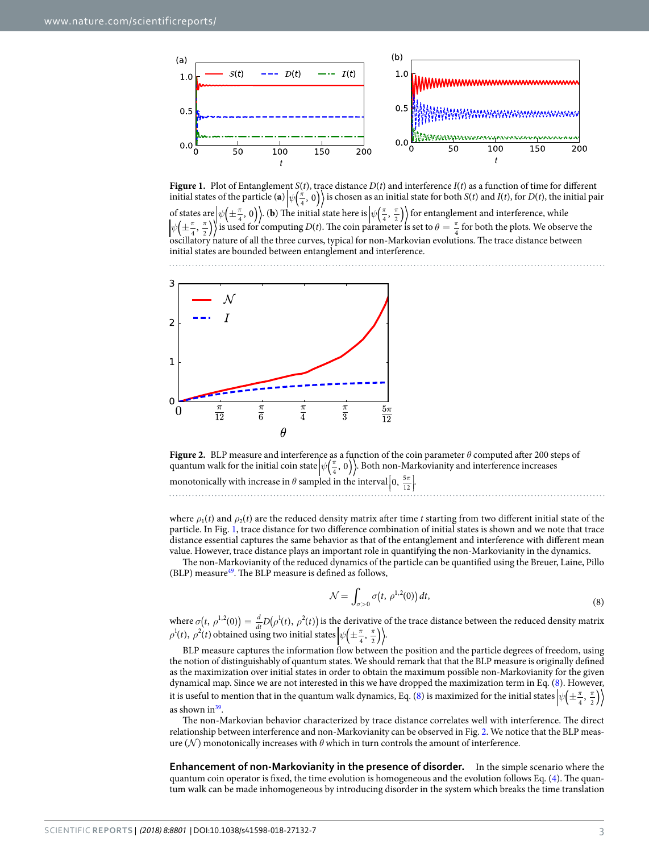

<span id="page-2-0"></span>**Figure 1.** Plot of Entanglement  $S(t)$ , trace distance  $D(t)$  and interference  $I(t)$  as a function of time for different initial states of the particle (a)  $\psi\left(\frac{\pi}{4}, 0\right)$  is chosen as an initial state for both  $S(t)$  and  $I(t)$ , for  $D(t)$ , the initial pair of states are  $|\psi(\pm \frac{\pi}{4}, 0)|$ . (**b**) The initial state here is  $|\psi(\frac{\pi}{4}, \frac{\pi}{2})\rangle$  for entanglement and interference, while  $\psi\left(\pm\frac{\pi}{4},\frac{\pi}{2}\right)\right)$  is used for computing  $D(t)$ . The coin parameter is set to  $\theta = \frac{\pi}{4}$  for both the plots. We observe the oscillatory nature of all the three curves, typical for non-Markovian evolutions. The trace distance between initial states are bounded between entanglement and interference.



<span id="page-2-2"></span>

where  $\rho_1(t)$  and  $\rho_2(t)$  are the reduced density matrix after time t starting from two different initial state of the particle. In Fig. [1,](#page-2-0) trace distance for two difference combination of initial states is shown and we note that trace distance essential captures the same behavior as that of the entanglement and interference with different mean value. However, trace distance plays an important role in quantifying the non-Markovianity in the dynamics.

The non-Markovianity of the reduced dynamics of the particle can be quantified using the Breuer, Laine, Pillo  $(BLP)$  measure<sup>[49](#page-6-17)</sup>. The BLP measure is defined as follows,

$$
\mathcal{N} = \int_{\sigma>0} \sigma(t, \,\rho^{1,2}(0)) \, dt,\tag{8}
$$

<span id="page-2-1"></span>where  $\sigma(t, \, \rho^{1,2}(0)) = \frac{d}{dt} D(\rho^1(t), \, \rho^2(t))$ dt  $\sigma(t, \rho^{1,2}(0)) = \frac{d}{dt} D(\rho^1(t), \rho^2(t))$  is the derivative of the trace distance between the reduced density matrix  $\rho^1(t)$ ,  $\rho^2(t)$  obtained using two initial states  $\left|\psi\left(\pm\frac{\pi}{4},\frac{\pi}{2}\right)\right\rangle$ .

BLP measure captures the information flow between the position and the particle degrees of freedom, using the notion of distinguishably of quantum states. We should remark that that the BLP measure is originally defined as the maximization over initial states in order to obtain the maximum possible non-Markovianity for the given dynamical map. Since we are not interested in this we have dropped the maximization term in Eq. [\(8\)](#page-2-1). However, it is useful to mention that in the quantum walk dynamics, Eq. [\(8\)](#page-2-1) is maximized for the initial states  $\left|\psi\left(\pm\frac{\pi}{4},\frac{\pi}{2}\right)\right\rangle$ as shown in<sup>[39](#page-6-8)</sup>.

The non-Markovian behavior characterized by trace distance correlates well with interference. The direct relationship between interference and non-Markovianity can be observed in Fig. [2](#page-2-2). We notice that the BLP measure  $(N)$  monotonically increases with  $\theta$  which in turn controls the amount of interference.

**Enhancement of non-Markovianity in the presence of disorder.** In the simple scenario where the quantum coin operator is fixed, the time evolution is homogeneous and the evolution follows Eq. ([4\)](#page-1-1). The quantum walk can be made inhomogeneous by introducing disorder in the system which breaks the time translation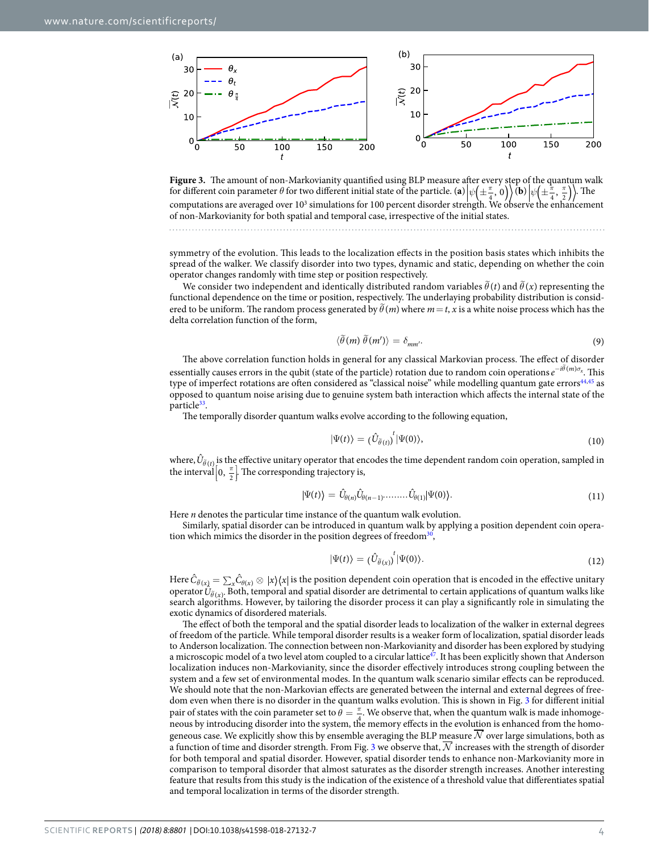

<span id="page-3-0"></span>**Figure 3.** The amount of non-Markovianity quantified using BLP measure after every step of the quantum walk for different coin parameter  $\theta$  for two different initial state of the particle. (**a**)  $\psi(\pm \frac{\pi}{4}, 0)$  (**b**)  $\psi(\pm \frac{\pi}{4}, \frac{\pi}{2})$ . The computations are averaged over 10<sup>3</sup> simulations for 100 percent disorder strength. We observe the enhancement of non-Markovianity for both spatial and temporal case, irrespective of the initial states.

symmetry of the evolution. This leads to the localization effects in the position basis states which inhibits the spread of the walker. We classify disorder into two types, dynamic and static, depending on whether the coin operator changes randomly with time step or position respectively.

We consider two independent and identically distributed random variables  $\hat{\theta}(t)$  and  $\hat{\theta}(x)$  representing the functional dependence on the time or position, respectively. The underlaying probability distribution is considered to be uniform. The random process generated by  $\theta(m)$  where  $m = t$ , x is a white noise process which has the delta correlation function of the form,

$$
\langle \tilde{\theta}(m) \tilde{\theta}(m') \rangle = \delta_{mm'}.
$$
\n(9)

<span id="page-3-1"></span>The above correlation function holds in general for any classical Markovian process. The effect of disorder essentially causes errors in the qubit (state of the particle) rotation due to random coin operations  $e^{-i\hat{\theta}(m)\sigma_x}$ . This type of imperfect rotations are often considered as "classical noise" while modelling quantum gate errors<sup>[44](#page-6-12),[45](#page-6-13)</sup> as opposed to quantum noise arising due to genuine system bath interaction which affects the internal state of the particle<sup>[33](#page-6-2)</sup>.

The temporally disorder quantum walks evolve according to the following equation,

$$
|\Psi(t)\rangle = (\hat{U}_{\tilde{\theta}(t)})^t |\Psi(0)\rangle, \tag{10}
$$

where,  $\hat{U}_{\tilde{\theta}(t)}$  is the effective unitary operator that encodes the time dependent random coin operation, sampled in the interval  $\left[0, \frac{\pi}{2}\right]$ . The corresponding trajectory is, Į į .<br>.

$$
|\Psi(t)\rangle = \hat{U}_{\theta(n)}\hat{U}_{\theta(n-1)}\dots\dots\hat{U}_{\theta(1)}|\Psi(0)\rangle.
$$
\n(11)

Here  $n$  denotes the particular time instance of the quantum walk evolution.

Similarly, spatial disorder can be introduced in quantum walk by applying a position dependent coin opera-tion which mimics the disorder in the position degrees of freedom<sup>[30](#page-6-0)</sup>,

$$
|\Psi(t)\rangle = (\hat{U}_{\tilde{\theta}(x)})^t |\Psi(0)\rangle.
$$
 (12)

Here  $\hat{C}_{\tilde{\theta}(x)}=\sum_x\hat{C}_{\theta(x)}\otimes|x\rangle\langle x|$  is the position dependent coin operation that is encoded in the effective unitary operator  $\hat{U}_{\hat{\theta}(x)}$ . Both, temporal and spatial disorder are detrimental to certain applications of quantum walks like search algorithms. However, by tailoring the disorder process it can play a significantly role in simulating the exotic dynamics of disordered materials.

The effect of both the temporal and the spatial disorder leads to localization of the walker in external degrees of freedom of the particle. While temporal disorder results is a weaker form of localization, spatial disorder leads to Anderson localization. The connection between non-Markovianity and disorder has been explored by studying a microscopic model of a two level atom coupled to a circular lattice $47$ . It has been explicitly shown that Anderson localization induces non-Markovianity, since the disorder effectively introduces strong coupling between the system and a few set of environmental modes. In the quantum walk scenario similar effects can be reproduced. We should note that the non-Markovian effects are generated between the internal and external degrees of freedom even when there is no disorder in the quantum walks evolution. This is shown in Fig. [3](#page-3-0) for different initial pair of states with the coin parameter set to  $\theta = \frac{\pi}{4}$  $\frac{\pi}{4}$ . We observe that, when the quantum walk is made inhomogeneous by introducing disorder into the system, the memory effects in the evolution is enhanced from the homogeneous case. We explicitly show this by ensemble averaging the BLP measure  $\overline{\mathcal{N}}$  over large simulations, both as a function of time and disorder strength. From Fig. [3](#page-3-0) we observe that,  $N$  increases with the strength of disorder for both temporal and spatial disorder. However, spatial disorder tends to enhance non-Markovianity more in comparison to temporal disorder that almost saturates as the disorder strength increases. Another interesting feature that results from this study is the indication of the existence of a threshold value that differentiates spatial and temporal localization in terms of the disorder strength.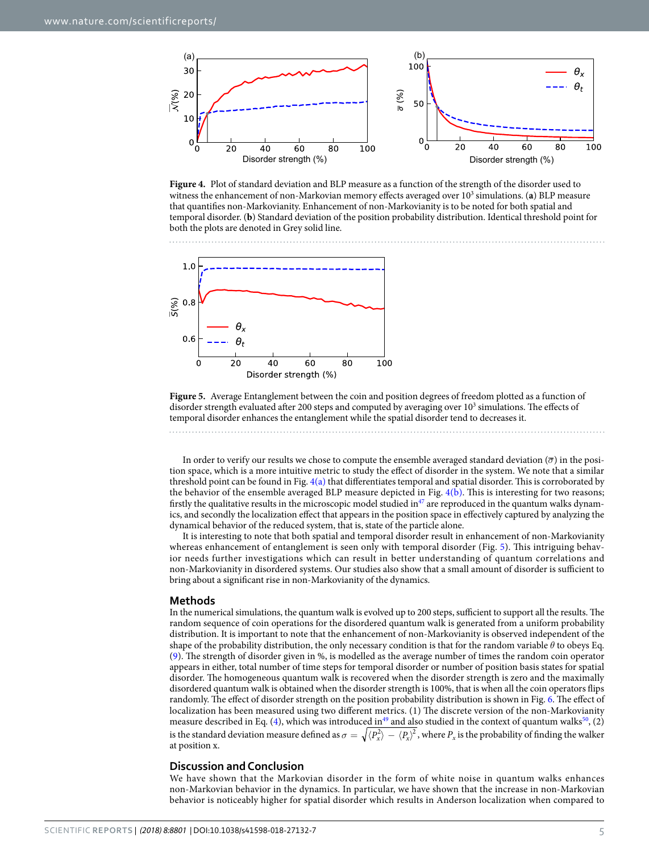

<span id="page-4-0"></span>**Figure 4.** Plot of standard deviation and BLP measure as a function of the strength of the disorder used to witness the enhancement of non-Markovian memory effects averaged over 10<sup>3</sup> simulations. (a) BLP measure that quantifies non-Markovianity. Enhancement of non-Markovianity is to be noted for both spatial and temporal disorder. (**b**) Standard deviation of the position probability distribution. Identical threshold point for both the plots are denoted in Grey solid line.



<span id="page-4-1"></span>**Figure 5.** Average Entanglement between the coin and position degrees of freedom plotted as a function of disorder strength evaluated after 200 steps and computed by averaging over 10<sup>3</sup> simulations. The effects of temporal disorder enhances the entanglement while the spatial disorder tend to decreases it.

In order to verify our results we chose to compute the ensemble averaged standard deviation  $(\overline{\sigma})$  in the position space, which is a more intuitive metric to study the effect of disorder in the system. We note that a similar threshold point can be found in Fig.  $4(a)$  that differentiates temporal and spatial disorder. This is corroborated by the behavior of the ensemble averaged BLP measure depicted in Fig. [4\(b\)](#page-4-0). This is interesting for two reasons; firstly the qualitative results in the microscopic model studied in $47$  are reproduced in the quantum walks dynamics, and secondly the localization effect that appears in the position space in effectively captured by analyzing the dynamical behavior of the reduced system, that is, state of the particle alone.

It is interesting to note that both spatial and temporal disorder result in enhancement of non-Markovianity whereas enhancement of entanglement is seen only with temporal disorder (Fig. [5](#page-4-1)). This intriguing behavior needs further investigations which can result in better understanding of quantum correlations and non-Markovianity in disordered systems. Our studies also show that a small amount of disorder is sufficient to bring about a significant rise in non-Markovianity of the dynamics.

### **Methods**

In the numerical simulations, the quantum walk is evolved up to 200 steps, sufficient to support all the results. The random sequence of coin operations for the disordered quantum walk is generated from a uniform probability distribution. It is important to note that the enhancement of non-Markovianity is observed independent of the shape of the probability distribution, the only necessary condition is that for the random variable *θ* to obeys Eq. ([9](#page-3-1)). The strength of disorder given in %, is modelled as the average number of times the random coin operator appears in either, total number of time steps for temporal disorder or number of position basis states for spatial disorder. The homogeneous quantum walk is recovered when the disorder strength is zero and the maximally disordered quantum walk is obtained when the disorder strength is 100%, that is when all the coin operators flips randomly. The effect of disorder strength on the position probability distribution is shown in Fig. [6](#page-5-14). The effect of localization has been measured using two different metrics. (1) The discrete version of the non-Markovianity measure described in Eq. ([4](#page-1-1)), which was introduced in<sup>[49](#page-6-17)</sup> and also studied in the context of quantum walks<sup>[50](#page-6-18)</sup>, (2) is the standard deviation measure defined as  $\sigma=\sqrt{\langle P_x^2\rangle-\langle P_x\rangle^2}$ , where  $P_x$  is the probability of finding the walker at position x.

#### **Discussion and Conclusion**

We have shown that the Markovian disorder in the form of white noise in quantum walks enhances non-Markovian behavior in the dynamics. In particular, we have shown that the increase in non-Markovian behavior is noticeably higher for spatial disorder which results in Anderson localization when compared to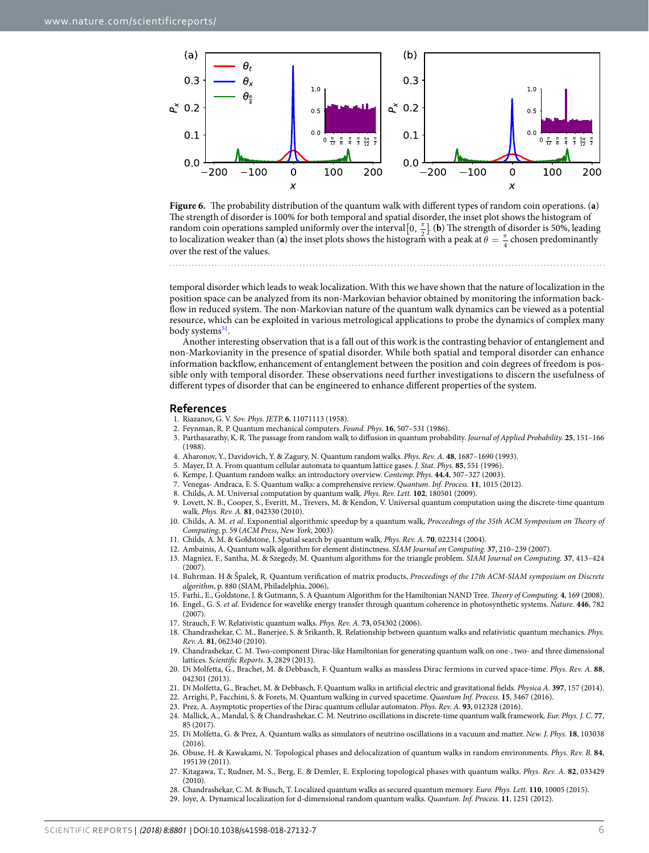

<span id="page-5-14"></span>

temporal disorder which leads to weak localization. With this we have shown that the nature of localization in the position space can be analyzed from its non-Markovian behavior obtained by monitoring the information backflow in reduced system. The non-Markovian nature of the quantum walk dynamics can be viewed as a potential resource, which can be exploited in various metrological applications to probe the dynamics of complex many body systems<sup>[51](#page-6-19)</sup>.

Another interesting observation that is a fall out of this work is the contrasting behavior of entanglement and non-Markovianity in the presence of spatial disorder. While both spatial and temporal disorder can enhance information backflow, enhancement of entanglement between the position and coin degrees of freedom is possible only with temporal disorder. These observations need further investigations to discern the usefulness of different types of disorder that can be engineered to enhance different properties of the system.

#### **References**

- <span id="page-5-0"></span>1. Riazanov, G. V. Sov. Phys. JETP. **6**, 11071113 (1958).
- 2. Feynman, R. P. Quantum mechanical computers. Found. Phys. **16**, 507–531 (1986).
- 3. Parthasarathy, K. R. The passage from random walk to diffusion in quantum probability. Journal of Applied Probability. **25**, 151–166 (1988).
- 4. Aharonov, Y., Davidovich, Y. & Zagury, N. Quantum random walks. Phys. Rev. A. **48**, 1687–1690 (1993).
- <span id="page-5-1"></span>5. Mayer, D. A. From quantum cellular automata to quantum lattice gases. J. Stat. Phys. **85**, 551 (1996).
- <span id="page-5-2"></span>6. Kempe, J. Quantum random walks: an introductory overview. Contemp. Phys. **44.4**, 307–327 (2003).
- <span id="page-5-3"></span>7. Venegas- Andraca, E. S. Quantum walks: a comprehensive review. Quantum. Inf. Process. **11**, 1015 (2012).
- <span id="page-5-4"></span>8. Childs, A. M. Universal computation by quantum walk. Phys. Rev. Lett. **102**, 180501 (2009).
- <span id="page-5-5"></span> 9. Lovett, N. B., Cooper, S., Everitt, M., Trevers, M. & Kendon, V. Universal quantum computation using the discrete-time quantum walk. Phys. Rev. A. **81**, 042330 (2010).
- <span id="page-5-6"></span> 10. Childs, A. M. et al. Exponential algorithmic speedup by a quantum walk, Proceedings of the 35th ACM Symposium on Theory of Computing, p. 59 (ACM Press, New York, 2003).
- <span id="page-5-7"></span>11. Childs, A. M. & Goldstone, J. Spatial search by quantum walk. Phys. Rev. A. **70**, 022314 (2004).
- <span id="page-5-8"></span>12. Ambainis, A. Quantum walk algorithm for element distinctness. SIAM Journal on Computing. **37**, 210–239 (2007).
- 13. Magniez, F., Santha, M. & Szegedy, M. Quantum algorithms for the triangle problem. SIAM Journal on Computing. **37**, 413–424 (2007).
- 14. Buhrman. H & Špalek, R. Quantum verification of matrix products, Proceedings of the 17th ACM-SIAM symposium on Discrete algorithm, p. 880 (SIAM, Philadelphia, 2006),
- <span id="page-5-9"></span>15. Farhi., E., Goldstone, J. & Gutmann, S. A Quantum Algorithm for the Hamiltonian NAND Tree. Theory of Computing. **4**, 169 (2008).
- <span id="page-5-10"></span> 16. Engel., G. S. et al. Evidence for wavelike energy transfer through quantum coherence in photosynthetic systems. Nature. **446**, 782 (2007).
- <span id="page-5-11"></span>17. Strauch, F. W. Relativistic quantum walks. Phys. Rev. A. **73**, 054302 (2006).
- 18. Chandrashekar, C. M., Banerjee, S. & Srikanth, R. Relationship between quantum walks and relativistic quantum mechanics. Phys. Rev. A. **81**, 062340 (2010).
- 19. Chandrashekar, C. M. Two-component Dirac-like Hamiltonian for generating quantum walk on one-, two- and three dimensional lattices. Scientific Reports. **3**, 2829 (2013).
- 20. Di Molfetta, G., Brachet, M. & Debbasch, F. Quantum walks as massless Dirac fermions in curved space-time. Phys. Rev. A. **88**, 042301 (2013).
- 21. Di Molfetta, G., Brachet, M. & Debbasch, F. Quantum walks in artificial electric and gravitational fields. Physica A. **397**, 157 (2014).
- 22. Arrighi, P., Facchini, S. & Forets, M. Quantum walking in curved spacetime. Quantum Inf. Process. **15**, 3467 (2016).
- 23. Prez, A. Asymptotic properties of the Dirac quantum cellular automaton. Phys. Rev. A. **93**, 012328 (2016).
- 24. Mallick, A., Mandal, S. & Chandrashekar, C. M. Neutrino oscillations in discrete-time quantum walk framework. Eur. Phys. J. C. **77**, 85 (2017).
- <span id="page-5-12"></span> 25. Di Molfetta, G. & Prez, A. Quantum walks as simulators of neutrino oscillations in a vacuum and matter. New. J. Phys. **18**, 103038 (2016).
- <span id="page-5-13"></span> 26. Obuse, H. & Kawakami, N. Topological phases and delocalization of quantum walks in random environments. Phys. Rev. B. **84**, 195139 (2011).
- 27. Kitagawa, T., Rudner, M. S., Berg, E. & Demler, E. Exploring topological phases with quantum walks. Phys. Rev. A. **82**, 033429 (2010).
- 28. Chandrashekar, C. M. & Busch, T. Localized quantum walks as secured quantum memory. Euro. Phys. Lett. **110**, 10005 (2015).
- 29. Joye, A. Dynamical localization for d-dimensional random quantum walks. Quantum. Inf. Process. **11**, 1251 (2012).